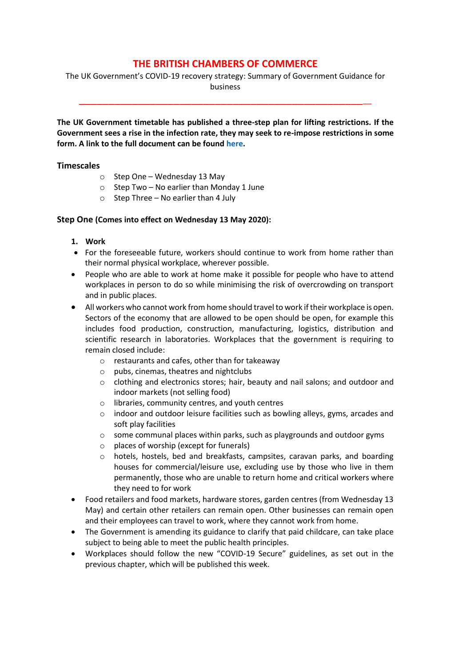# **THE BRITISH CHAMBERS OF COMMERCE**

The UK Government's COVID-19 recovery strategy: Summary of Government Guidance for business

\_\_\_\_\_\_\_\_\_\_\_\_\_\_\_\_\_\_\_\_\_\_\_\_\_\_\_\_\_\_\_\_\_\_\_\_\_\_\_\_\_\_\_\_\_\_\_\_\_\_

**The UK Government timetable has published a three-step plan for lifting restrictions. If the Government sees a rise in the infection rate, they may seek to re-impose restrictions in some form. A link to the full document can be found [here.](https://assets.publishing.service.gov.uk/government/uploads/system/uploads/attachment_data/file/884171/FINAL_6.6637_CO_HMG_C19_Recovery_FINAL_110520_v2_WEB__1_.pdf)**

#### **Timescales**

- o Step One Wednesday 13 May
- $\circ$  Step Two No earlier than Monday 1 June
- $\circ$  Step Three No earlier than 4 July

#### **Step One (Comes into effect on Wednesday 13 May 2020):**

- **1. Work**
- For the foreseeable future, workers should continue to work from home rather than their normal physical workplace, wherever possible.
- People who are able to work at home make it possible for people who have to attend workplaces in person to do so while minimising the risk of overcrowding on transport and in public places.
- All workers who cannot work from home should travel to work if their workplace is open. Sectors of the economy that are allowed to be open should be open, for example this includes food production, construction, manufacturing, logistics, distribution and scientific research in laboratories. Workplaces that the government is requiring to remain closed include:
	- o restaurants and cafes, other than for takeaway
	- o pubs, cinemas, theatres and nightclubs
	- o clothing and electronics stores; hair, beauty and nail salons; and outdoor and indoor markets (not selling food)
	- o libraries, community centres, and youth centres
	- $\circ$  indoor and outdoor leisure facilities such as bowling alleys, gyms, arcades and soft play facilities
	- o some communal places within parks, such as playgrounds and outdoor gyms
	- o places of worship (except for funerals)
	- o hotels, hostels, bed and breakfasts, campsites, caravan parks, and boarding houses for commercial/leisure use, excluding use by those who live in them permanently, those who are unable to return home and critical workers where they need to for work
- Food retailers and food markets, hardware stores, garden centres (from Wednesday 13 May) and certain other retailers can remain open. Other businesses can remain open and their employees can travel to work, where they cannot work from home.
- The Government is amending its guidance to clarify that paid childcare, can take place subject to being able to meet the public health principles.
- Workplaces should follow the new "COVID-19 Secure" guidelines, as set out in the previous chapter, which will be published this week.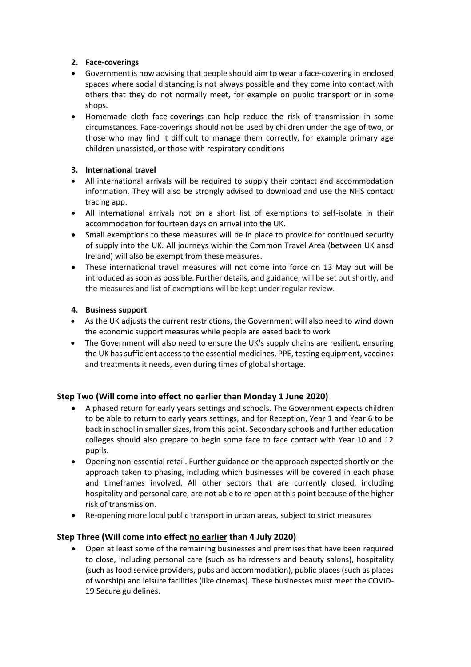### **2. Face-coverings**

- Government is now advising that people should aim to wear a face-covering in enclosed spaces where social distancing is not always possible and they come into contact with others that they do not normally meet, for example on public transport or in some shops.
- Homemade cloth face-coverings can help reduce the risk of transmission in some circumstances. Face-coverings should not be used by children under the age of two, or those who may find it difficult to manage them correctly, for example primary age children unassisted, or those with respiratory conditions

## **3. International travel**

- All international arrivals will be required to supply their contact and accommodation information. They will also be strongly advised to download and use the NHS contact tracing app.
- All international arrivals not on a short list of exemptions to self-isolate in their accommodation for fourteen days on arrival into the UK.
- Small exemptions to these measures will be in place to provide for continued security of supply into the UK. All journeys within the Common Travel Area (between UK ansd Ireland) will also be exempt from these measures.
- These international travel measures will not come into force on 13 May but will be introduced as soon as possible. Further details, and guidance, will be set out shortly, and the measures and list of exemptions will be kept under regular review.

#### **4. Business support**

- As the UK adjusts the current restrictions, the Government will also need to wind down the economic support measures while people are eased back to work
- The Government will also need to ensure the UK's supply chains are resilient, ensuring the UK has sufficient access to the essential medicines, PPE, testing equipment, vaccines and treatments it needs, even during times of global shortage.

## **Step Two (Will come into effect no earlier than Monday 1 June 2020)**

- A phased return for early years settings and schools. The Government expects children to be able to return to early years settings, and for Reception, Year 1 and Year 6 to be back in school in smaller sizes, from this point. Secondary schools and further education colleges should also prepare to begin some face to face contact with Year 10 and 12 pupils.
- Opening non-essential retail. Further guidance on the approach expected shortly on the approach taken to phasing, including which businesses will be covered in each phase and timeframes involved. All other sectors that are currently closed, including hospitality and personal care, are not able to re-open at this point because of the higher risk of transmission.
- Re-opening more local public transport in urban areas, subject to strict measures

## **Step Three (Will come into effect no earlier than 4 July 2020)**

• Open at least some of the remaining businesses and premises that have been required to close, including personal care (such as hairdressers and beauty salons), hospitality (such as food service providers, pubs and accommodation), public places (such as places of worship) and leisure facilities (like cinemas). These businesses must meet the COVID-19 Secure guidelines.